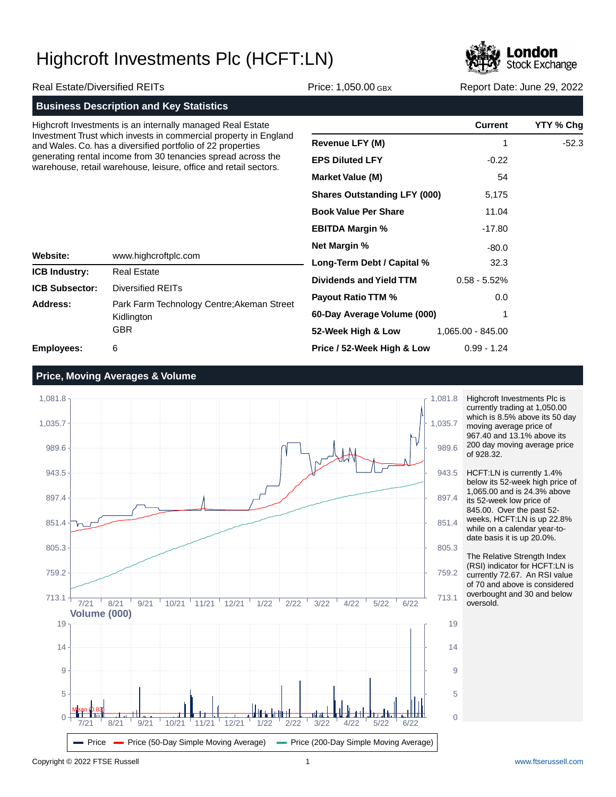

| <b>Real Estate/Diversified REITs</b>    |                                                                                                                                  | Price: 1,050.00 GBX                 | Report Date: June 29, 2022 |           |  |
|-----------------------------------------|----------------------------------------------------------------------------------------------------------------------------------|-------------------------------------|----------------------------|-----------|--|
|                                         | <b>Business Description and Key Statistics</b>                                                                                   |                                     |                            |           |  |
|                                         | Highcroft Investments is an internally managed Real Estate                                                                       |                                     | <b>Current</b>             | YTY % Chg |  |
|                                         | Investment Trust which invests in commercial property in England<br>and Wales. Co. has a diversified portfolio of 22 properties  | <b>Revenue LFY (M)</b>              |                            | $-52.3$   |  |
|                                         | generating rental income from 30 tenancies spread across the<br>warehouse, retail warehouse, leisure, office and retail sectors. | <b>EPS Diluted LFY</b>              | $-0.22$                    |           |  |
|                                         |                                                                                                                                  | <b>Market Value (M)</b>             | 54                         |           |  |
|                                         |                                                                                                                                  | <b>Shares Outstanding LFY (000)</b> | 5,175                      |           |  |
|                                         |                                                                                                                                  | <b>Book Value Per Share</b>         | 11.04                      |           |  |
|                                         |                                                                                                                                  | <b>EBITDA Margin %</b>              | -17.80                     |           |  |
|                                         |                                                                                                                                  | <b>Net Margin %</b>                 | $-80.0$                    |           |  |
| <b>Website:</b><br>www.highcroftplc.com | Long-Term Debt / Capital %                                                                                                       | 32.3                                |                            |           |  |
| <b>ICB Industry:</b>                    | <b>Real Estate</b>                                                                                                               | <b>Dividends and Yield TTM</b>      | $0.58 - 5.52%$             |           |  |
| <b>ICB Subsector:</b>                   | Diversified REITs                                                                                                                |                                     |                            |           |  |
| Address:                                | Park Farm Technology Centre; Akeman Street<br>Kidlington<br><b>GBR</b>                                                           | <b>Payout Ratio TTM %</b>           | 0.0                        |           |  |
|                                         |                                                                                                                                  | 60-Day Average Volume (000)         |                            |           |  |
|                                         |                                                                                                                                  | 52-Week High & Low                  | 1,065.00 - 845.00          |           |  |
| <b>Employees:</b>                       | 6                                                                                                                                | Price / 52-Week High & Low          | $0.99 - 1.24$              |           |  |

**Employees:**

## **Price, Moving Averages & Volume**



Highcroft Investments Plc is currently trading at 1,050.00 which is 8.5% above its 50 day moving average price of 967.40 and 13.1% above its 200 day moving average price of 928.32.

HCFT:LN is currently 1.4% below its 52-week high price of 1,065.00 and is 24.3% above its 52-week low price of 845.00. Over the past 52 weeks, HCFT:LN is up 22.8% while on a calendar year-todate basis it is up 20.0%.

The Relative Strength Index (RSI) indicator for HCFT:LN is currently 72.67. An RSI value of 70 and above is considered overbought and 30 and below oversold.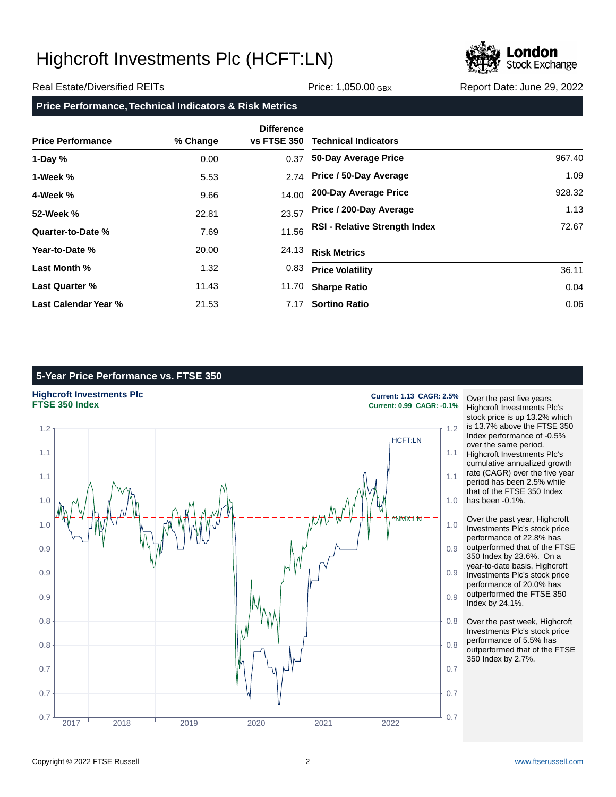

### Real Estate/Diversified REITs **Price: 1,050.00 GBX** Report Date: June 29, 2022

**Price Performance, Technical Indicators & Risk Metrics**

| <b>Price Performance</b> | % Change | <b>Difference</b><br><b>vs FTSE 350</b> | <b>Technical Indicators</b>          |        |
|--------------------------|----------|-----------------------------------------|--------------------------------------|--------|
| 1-Day $%$                | 0.00     | 0.37                                    | 50-Day Average Price                 | 967.40 |
| 1-Week %                 | 5.53     |                                         | 2.74 Price / 50-Day Average          | 1.09   |
| 4-Week %                 | 9.66     | 14.00                                   | 200-Day Average Price                | 928.32 |
| 52-Week %                | 22.81    | 23.57                                   | Price / 200-Day Average              | 1.13   |
| Quarter-to-Date %        | 7.69     | 11.56                                   | <b>RSI - Relative Strength Index</b> | 72.67  |
| Year-to-Date %           | 20.00    | 24.13                                   | <b>Risk Metrics</b>                  |        |
| Last Month %             | 1.32     | 0.83                                    | <b>Price Volatility</b>              | 36.11  |
| <b>Last Quarter %</b>    | 11.43    | 11.70                                   | <b>Sharpe Ratio</b>                  | 0.04   |
| Last Calendar Year %     | 21.53    | 7.17                                    | <b>Sortino Ratio</b>                 | 0.06   |

## **5-Year Price Performance vs. FTSE 350**





**FTSE 350 Index Current: 0.99 CAGR: -0.1%**

Over the past five years, Highcroft Investments Plc's stock price is up 13.2% which is 13.7% above the FTSE 350 Index performance of -0.5% over the same period. Highcroft Investments Plc's cumulative annualized growth rate (CAGR) over the five year period has been 2.5% while that of the FTSE 350 Index has been -0.1%.

Over the past year, Highcroft Investments Plc's stock price performance of 22.8% has outperformed that of the FTSE 350 Index by 23.6%. On a year-to-date basis, Highcroft Investments Plc's stock price performance of 20.0% has outperformed the FTSE 350 Index by 24.1%.

Over the past week, Highcroft Investments Plc's stock price performance of 5.5% has outperformed that of the FTSE 350 Index by 2.7%.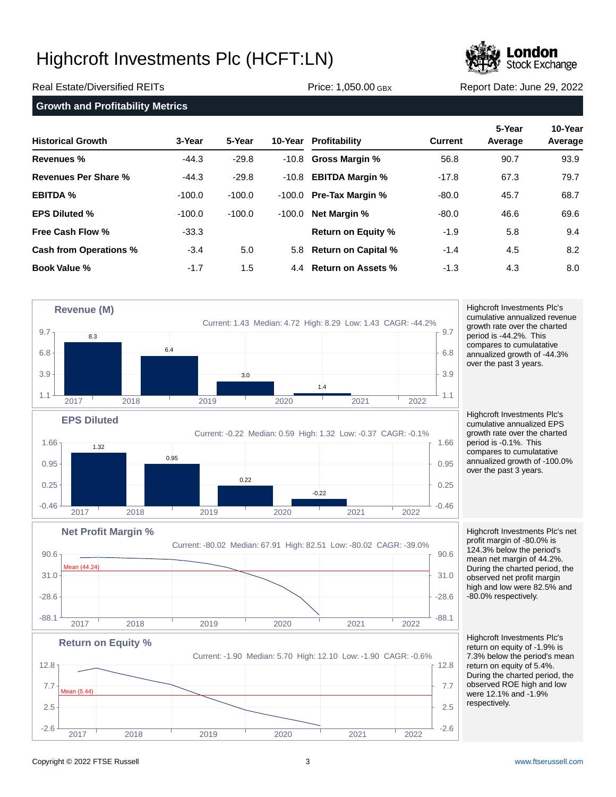

Real Estate/Diversified REITs **Price: 1,050.00 GBX** Report Date: June 29, 2022

|  |  | <b>Growth and Profitability Metrics</b> |  |
|--|--|-----------------------------------------|--|
|--|--|-----------------------------------------|--|

| <b>Historical Growth</b>      | 3-Year   | 5-Year   |          | 10-Year Profitability     | <b>Current</b> | 5-Year<br>Average | 10-Year<br>Average |
|-------------------------------|----------|----------|----------|---------------------------|----------------|-------------------|--------------------|
| Revenues %                    | $-44.3$  | $-29.8$  |          | $-10.8$ Gross Margin %    | 56.8           | 90.7              | 93.9               |
| Revenues Per Share %          | $-44.3$  | $-29.8$  | -10.8    | <b>EBITDA Margin %</b>    | $-17.8$        | 67.3              | 79.7               |
| <b>EBITDA %</b>               | $-100.0$ | $-100.0$ | -100.0   | <b>Pre-Tax Margin %</b>   | $-80.0$        | 45.7              | 68.7               |
| <b>EPS Diluted %</b>          | $-100.0$ | $-100.0$ | $-100.0$ | <b>Net Margin %</b>       | $-80.0$        | 46.6              | 69.6               |
| <b>Free Cash Flow %</b>       | $-33.3$  |          |          | <b>Return on Equity %</b> | $-1.9$         | 5.8               | 9.4                |
| <b>Cash from Operations %</b> | $-3.4$   | 5.0      |          | 5.8 Return on Capital %   | $-1.4$         | 4.5               | 8.2                |
| <b>Book Value %</b>           | $-1.7$   | 1.5      |          | 4.4 Return on Assets %    | $-1.3$         | 4.3               | 8.0                |



 $-88.1$   $-88.1$   $-88.1$   $-88.1$   $-88.1$   $-88.1$ 

2017 2018 2019 2020 2021 2022

 $-2.6$   $-2.6$   $-2.6$   $-2.6$   $-2.6$   $-2.6$   $-2.6$   $-2.6$   $-2.6$   $-2.6$   $-2.6$   $-2.6$   $-2.6$   $-2.6$ 

2017 2018 2019 2020 2021 2022

2.5  $\sim$  2.5

7.7  $\frac{1}{2}$  7.7  $\frac{1}{2}$  7.7  $\frac{1}{2}$  7.7  $\frac{1}{2}$  7.7  $\frac{1}{2}$  7.7  $\frac{1}{2}$  7.7  $\frac{1}{2}$  7.7  $\frac{1}{2}$  7.7  $\frac{1}{2}$  7.7  $\frac{1}{2}$  7.7  $\frac{1}{2}$  7.7  $\frac{1}{2}$  7.7  $\frac{1}{2}$  7.7  $\frac{1}{2}$  7.7  $\frac{1}{2}$  7.7  $\frac{1}{2$ 

 $12.8<sub>1</sub>$  (12.8

annualized growth of -44.3% over the past 3 years. Highcroft Investments Plc's

cumulative annualized EPS growth rate over the charted period is -0.1%. This compares to cumulatative annualized growth of -100.0% over the past 3 years.

Highcroft Investments Plc's net profit margin of -80.0% is 124.3% below the period's mean net margin of 44.2%. During the charted period, the observed net profit margin high and low were 82.5% and -80.0% respectively.

Highcroft Investments Plc's return on equity of -1.9% is 7.3% below the period's mean return on equity of 5.4%. During the charted period, the observed ROE high and low were 12.1% and -1.9% respectively.

Mean (5.44)

**Return on Equity %**

Current: -1.90 Median: 5.70 High: 12.10 Low: -1.90 CAGR: -0.6%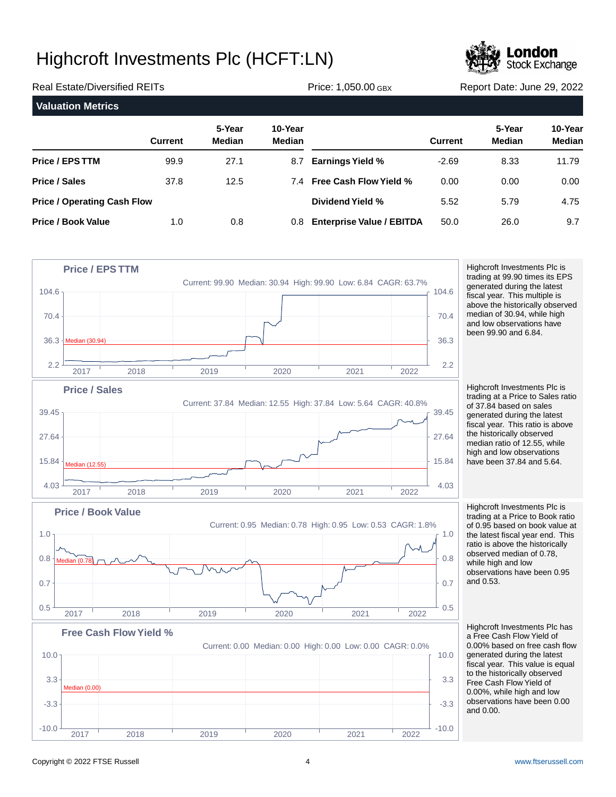

| <b>Real Estate/Diversified REITs</b> |                |                         |                   | Price: 1,050.00 GBX              | Report Date: June 29, 2022 |                         |                          |
|--------------------------------------|----------------|-------------------------|-------------------|----------------------------------|----------------------------|-------------------------|--------------------------|
| <b>Valuation Metrics</b>             |                |                         |                   |                                  |                            |                         |                          |
|                                      | <b>Current</b> | 5-Year<br><b>Median</b> | 10-Year<br>Median |                                  | <b>Current</b>             | 5-Year<br><b>Median</b> | 10-Year<br><b>Median</b> |
| Price / EPS TTM                      | 99.9           | 27.1                    | 8.7               | <b>Earnings Yield %</b>          | $-2.69$                    | 8.33                    | 11.79                    |
| Price / Sales                        | 37.8           | 12.5                    |                   | 7.4 Free Cash Flow Yield %       | 0.00                       | 0.00                    | 0.00                     |
| <b>Price / Operating Cash Flow</b>   |                |                         |                   | Dividend Yield %                 | 5.52                       | 5.79                    | 4.75                     |
| <b>Price / Book Value</b>            | 1.0            | 0.8                     | 0.8               | <b>Enterprise Value / EBITDA</b> | 50.0                       | 26.0                    | 9.7                      |



Highcroft Investments Plc is trading at 99.90 times its EPS generated during the latest fiscal year. This multiple is above the historically observed median of 30.94, while high and low observations have been 99.90 and 6.84.

Highcroft Investments Plc is trading at a Price to Sales ratio of 37.84 based on sales generated during the latest fiscal year. This ratio is above the historically observed median ratio of 12.55, while high and low observations have been 37.84 and 5.64.

Highcroft Investments Plc is trading at a Price to Book ratio of 0.95 based on book value at the latest fiscal year end. This ratio is above the historically observed median of 0.78, while high and low observations have been 0.95 and 0.53.

Highcroft Investments Plc has a Free Cash Flow Yield of 0.00% based on free cash flow generated during the latest fiscal year. This value is equal to the historically observed Free Cash Flow Yield of 0.00%, while high and low observations have been 0.00 and 0.00.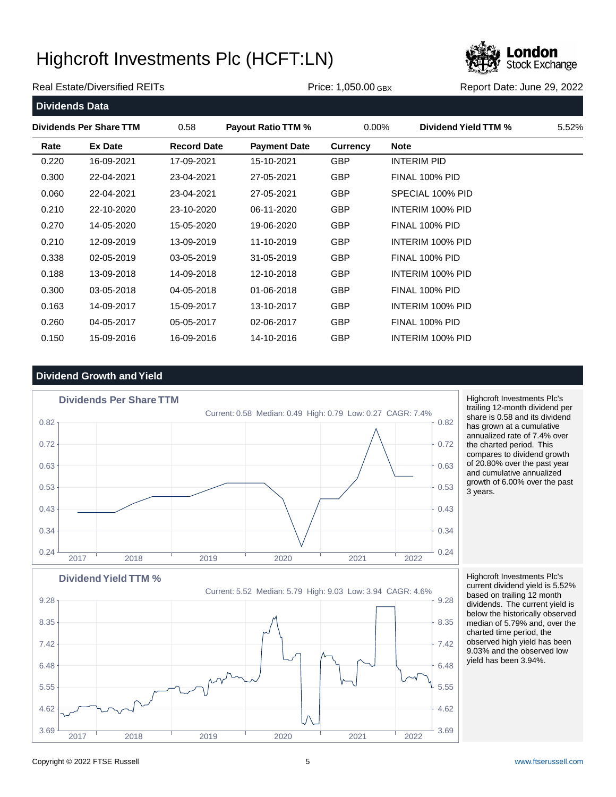

### Real Estate/Diversified REITs **Price: 1,050.00 GBX** Report Date: June 29, 2022

**Dividends Data Dividends Per Share TTM** 0.58 **Payout Ratio TTM %** 0.00% **Dividend Yield TTM %** 5.52% **Rate Ex Date Record Date Payment Date Currency Note** 0.220 16-09-2021 17-09-2021 15-10-2021 GBP INTERIM PID 0.300 22-04-2021 23-04-2021 27-05-2021 GBP FINAL 100% PID 0.060 22-04-2021 23-04-2021 27-05-2021 GBP SPECIAL 100% PID 0.210 22-10-2020 23-10-2020 06-11-2020 GBP INTERIM 100% PID 0.270 14-05-2020 15-05-2020 19-06-2020 GBP FINAL 100% PID 0.210 12-09-2019 13-09-2019 11-10-2019 GBP INTERIM 100% PID 0.338 02-05-2019 03-05-2019 31-05-2019 GBP FINAL 100% PID 0.188 13-09-2018 14-09-2018 12-10-2018 GBP INTERIM 100% PID 0.300 03-05-2018 04-05-2018 01-06-2018 GBP FINAL 100% PID 0.163 14-09-2017 15-09-2017 13-10-2017 GBP INTERIM 100% PID 0.260 04-05-2017 05-05-2017 02-06-2017 GBP FINAL 100% PID 0.150 15-09-2016 16-09-2016 14-10-2016 GBP INTERIM 100% PID

## **Dividend Growth and Yield**



Highcroft Investments Plc's trailing 12-month dividend per share is 0.58 and its dividend has grown at a cumulative annualized rate of 7.4% over the charted period. This compares to dividend growth of 20.80% over the past year and cumulative annualized growth of 6.00% over the past 3 years.



Highcroft Investments Plc's current dividend yield is 5.52% based on trailing 12 month dividends. The current yield is below the historically observed median of 5.79% and, over the charted time period, the observed high yield has been 9.03% and the observed low yield has been 3.94%.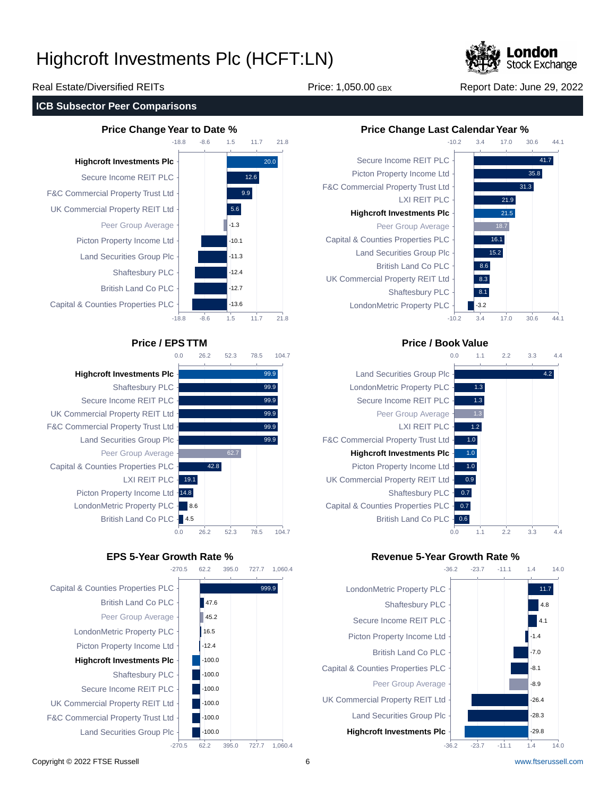

30.6

44.1

41.7 35.8 31.3

30.6

44.1

### Real Estate/Diversified REITs **Price: 1,050.00 GBX** Report Date: June 29, 2022

### **ICB Subsector Peer Comparisons**





395.0

727.7

**Highcroft Investments Plc** Shaftesbury PLC Secure Income REIT PLC UK Commercial Property REIT Ltd F&C Commercial Property Trust Ltd Land Securities Group Plc Peer Group Average Capital & Counties Properties PLC LXI REIT PLC - 19.1 Picton Property Income Ltd -14.8 LondonMetric Property PLC - 8.6



 $-10.2$ 

3.4



## **Price / EPS TTM Price / Book Value**



## **EPS 5-Year Growth Rate % Revenue 5-Year Growth Rate %**



## 1,060.4

Copyright © 2022 FTSE Russell 6 [www.ftserussell.com](http://www.ftserussell.com)

14.0

 $14.0$ 

1.4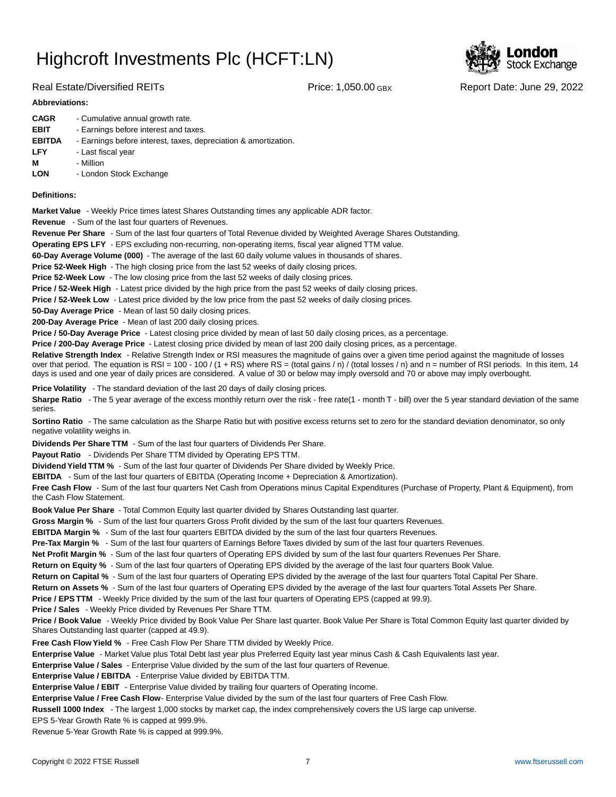

### Real Estate/Diversified REITs **Price: 1,050.00 GBX** Report Date: June 29, 2022

| <b>Abbreviations:</b> |                                                                 |  |  |  |  |  |
|-----------------------|-----------------------------------------------------------------|--|--|--|--|--|
| <b>CAGR</b>           | - Cumulative annual growth rate.                                |  |  |  |  |  |
| <b>EBIT</b>           | - Earnings before interest and taxes.                           |  |  |  |  |  |
| <b>EBITDA</b>         | - Earnings before interest, taxes, depreciation & amortization. |  |  |  |  |  |
| <b>LFY</b>            | - Last fiscal year                                              |  |  |  |  |  |
| М                     | - Million                                                       |  |  |  |  |  |

**LON** - London Stock Exchange

### **Definitions:**

**Market Value** - Weekly Price times latest Shares Outstanding times any applicable ADR factor.

**Revenue** - Sum of the last four quarters of Revenues.

**Revenue Per Share** - Sum of the last four quarters of Total Revenue divided by Weighted Average Shares Outstanding.

**Operating EPS LFY** - EPS excluding non-recurring, non-operating items, fiscal year aligned TTM value.

60-Day Average Volume (000) - The average of the last 60 daily volume values in thousands of shares.

**Price 52-Week High** - The high closing price from the last 52 weeks of daily closing prices.

**Price 52-Week Low** - The low closing price from the last 52 weeks of daily closing prices.

**Price / 52-Week High** - Latest price divided by the high price from the past 52 weeks of daily closing prices.

**Price / 52-Week Low** - Latest price divided by the low price from the past 52 weeks of daily closing prices.

**50-Day Average Price** - Mean of last 50 daily closing prices.

**200-Day Average Price** - Mean of last 200 daily closing prices.

Price / 50-Day Average Price - Latest closing price divided by mean of last 50 daily closing prices, as a percentage.

**Price / 200-Day Average Price** - Latest closing price divided by mean of last 200 daily closing prices, as a percentage.

Relative Strength Index - Relative Strength Index or RSI measures the magnitude of gains over a given time period against the magnitude of losses over that period. The equation is RSI = 100 - 100 / (1 + RS) where RS = (total gains / n) / (total losses / n) and n = number of RSI periods. In this item, 14 days is used and one year of daily prices are considered. A value of 30 or below may imply oversold and 70 or above may imply overbought.

**Price Volatility** - The standard deviation of the last 20 days of daily closing prices.

Sharpe Ratio - The 5 year average of the excess monthly return over the risk - free rate(1 - month T - bill) over the 5 year standard deviation of the same series.

**Sortino Ratio** - The same calculation as the Sharpe Ratio but with positive excess returns set to zero for the standard deviation denominator, so only negative volatility weighs in.

**Dividends Per Share TTM** - Sum of the last four quarters of Dividends Per Share.

Payout Ratio - Dividends Per Share TTM divided by Operating EPS TTM.

**Dividend Yield TTM %** - Sum of the last four quarter of Dividends Per Share divided by Weekly Price.

**EBITDA** - Sum of the last four quarters of EBITDA (Operating Income + Depreciation & Amortization).

**Free Cash Flow** - Sum of the last four quarters Net Cash from Operations minus Capital Expenditures (Purchase of Property, Plant & Equipment), from the Cash Flow Statement.

**Book Value Per Share** - Total Common Equity last quarter divided by Shares Outstanding last quarter.

**Gross Margin %** - Sum of the last four quarters Gross Profit divided by the sum of the last four quarters Revenues.

**EBITDA Margin %** - Sum of the last four quarters EBITDA divided by the sum of the last four quarters Revenues.

**Pre-Tax Margin %** - Sum of the last four quarters of Earnings Before Taxes divided by sum of the last four quarters Revenues.

**Net Profit Margin %** - Sum of the last four quarters of Operating EPS divided by sum of the last four quarters Revenues Per Share.

**Return on Equity %** - Sum of the last four quarters of Operating EPS divided by the average of the last four quarters Book Value.

**Return on Capital %** - Sum of the last four quarters of Operating EPS divided by the average of the last four quarters Total Capital Per Share.

**Return on Assets %** - Sum of the last four quarters of Operating EPS divided by the average of the last four quarters Total Assets Per Share.

**Price / EPS TTM** - Weekly Price divided by the sum of the last four quarters of Operating EPS (capped at 99.9).

**Price / Sales** - Weekly Price divided by Revenues Per Share TTM.

**Price / Book Value** - Weekly Price divided by Book Value Per Share last quarter. Book Value Per Share is Total Common Equity last quarter divided by Shares Outstanding last quarter (capped at 49.9).

**Free Cash Flow Yield %** - Free Cash Flow Per Share TTM divided by Weekly Price.

Enterprise Value - Market Value plus Total Debt last year plus Preferred Equity last year minus Cash & Cash Equivalents last year.

**Enterprise Value / Sales** - Enterprise Value divided by the sum of the last four quarters of Revenue.

**Enterprise Value / EBITDA** - Enterprise Value divided by EBITDA TTM.

**Enterprise Value / EBIT** - Enterprise Value divided by trailing four quarters of Operating Income.

Enterprise Value / Free Cash Flow- Enterprise Value divided by the sum of the last four quarters of Free Cash Flow.

**Russell 1000 Index** - The largest 1,000 stocks by market cap, the index comprehensively covers the US large cap universe.

EPS 5-Year Growth Rate % is capped at 999.9%.

Revenue 5-Year Growth Rate % is capped at 999.9%.